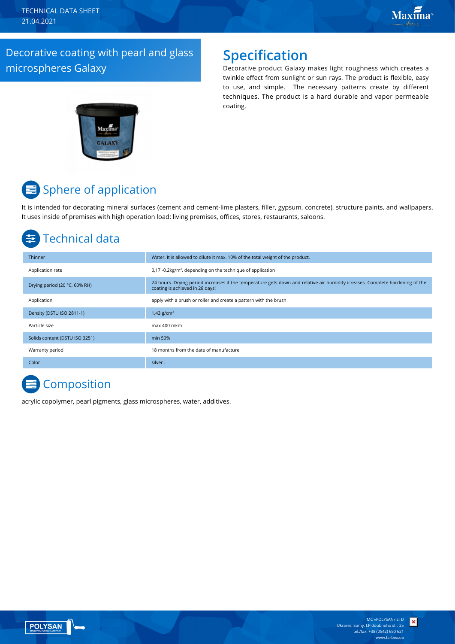TECHNICAL DATA SHEET 21.04.2021

### Decorative coating with pearl and glass microspheres Galaxy

### **Specification**

Decorative product Galaxy makes light roughness which creates a twinkle effect from sunlight or sun rays. The product is flexible, easy to use, and simple. The necessary patterns create by different techniques. The product is a hard durable and vapor permeable coating.



# **■** Sphere of application

It is intended for decorating mineral surfaces (cement and cement-lime plasters, filler, gypsum, concrete), structure paints, and wallpapers. It uses inside of premises with high operation load: living premises, offices, stores, restaurants, saloons.

### Technical data

| Thinner                        | Water. It is allowed to dilute it max. 10% of the total weight of the product.                                                                                  |
|--------------------------------|-----------------------------------------------------------------------------------------------------------------------------------------------------------------|
| Application rate               | $0.17 - 0.2 \text{kg/m}^2$ , depending on the technique of application                                                                                          |
| Drying period (20 °C, 60% RH)  | 24 hours. Drying period increases if the temperature gets down and relative air humidity icreases. Complete hardening of the<br>coating is achieved in 28 days! |
| Application                    | apply with a brush or roller and create a pattern with the brush                                                                                                |
| Density (DSTU ISO 2811-1)      | 1,43 $g/cm^{3}$                                                                                                                                                 |
| Particle size                  | max 400 mkm                                                                                                                                                     |
| Solids content (DSTU ISO 3251) | min 50%                                                                                                                                                         |
| Warranty period                | 18 months from the date of manufacture                                                                                                                          |
| Color                          | silver.                                                                                                                                                         |

### **Composition**

acrylic copolymer, pearl pigments, glass microspheres, water, additives.



×